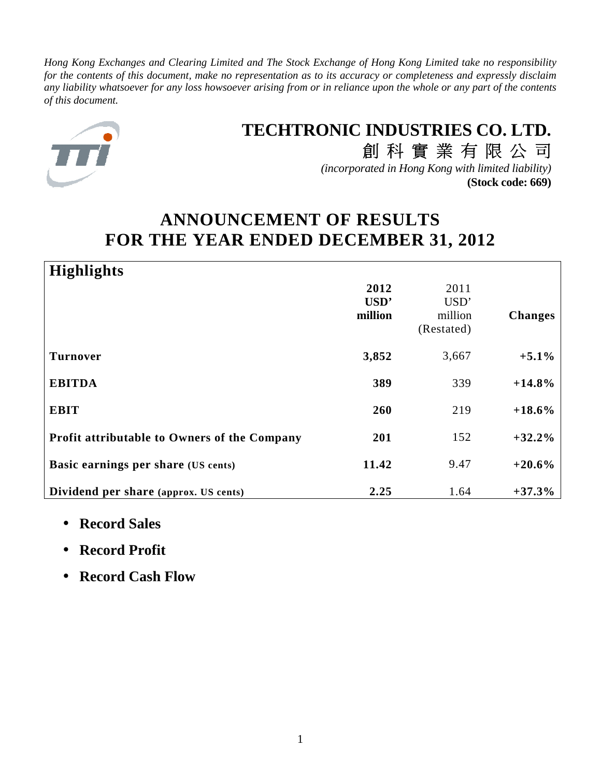*Hong Kong Exchanges and Clearing Limited and The Stock Exchange of Hong Kong Limited take no responsibility for the contents of this document, make no representation as to its accuracy or completeness and expressly disclaim any liability whatsoever for any loss howsoever arising from or in reliance upon the whole or any part of the contents of this document.*



# **TECHTRONIC INDUSTRIES CO. LTD.**

創科實業有限公司 *(incorporated in Hong Kong with limited liability)* **(Stock code: 669)**

# **ANNOUNCEMENT OF RESULTS FOR THE YEAR ENDED DECEMBER 31, 2012**

| <b>Highlights</b>                            |                         |                                       |                |
|----------------------------------------------|-------------------------|---------------------------------------|----------------|
|                                              | 2012<br>USD'<br>million | 2011<br>USD'<br>million<br>(Restated) | <b>Changes</b> |
| <b>Turnover</b>                              | 3,852                   | 3,667                                 | $+5.1\%$       |
| <b>EBITDA</b>                                | 389                     | 339                                   | $+14.8%$       |
| <b>EBIT</b>                                  | 260                     | 219                                   | $+18.6%$       |
| Profit attributable to Owners of the Company | 201                     | 152                                   | $+32.2%$       |
| Basic earnings per share (US cents)          | 11.42                   | 9.47                                  | $+20.6%$       |
| Dividend per share (approx. US cents)        | 2.25                    | 1.64                                  | $+37.3%$       |

- **Record Sales**
- **Record Profit**
- **Record Cash Flow**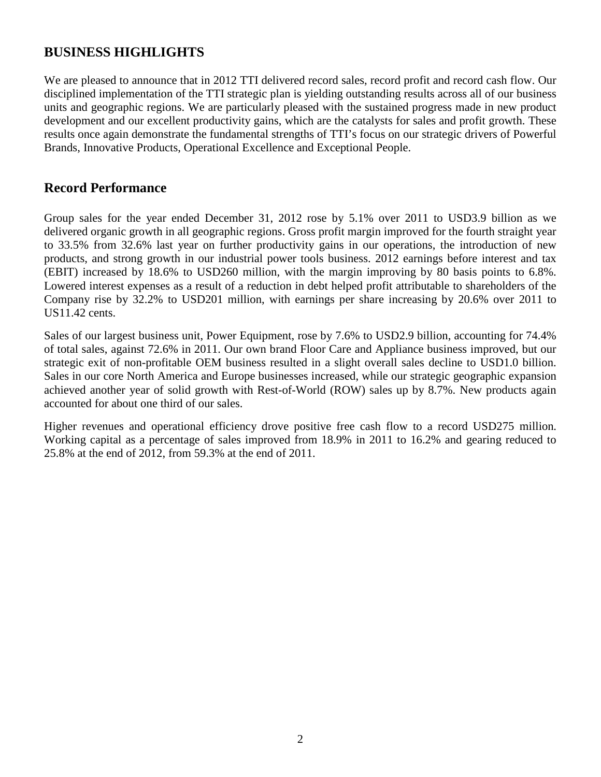# **BUSINESS HIGHLIGHTS**

We are pleased to announce that in 2012 TTI delivered record sales, record profit and record cash flow. Our disciplined implementation of the TTI strategic plan is yielding outstanding results across all of our business units and geographic regions. We are particularly pleased with the sustained progress made in new product development and our excellent productivity gains, which are the catalysts for sales and profit growth. These results once again demonstrate the fundamental strengths of TTI's focus on our strategic drivers of Powerful Brands, Innovative Products, Operational Excellence and Exceptional People.

## **Record Performance**

Group sales for the year ended December 31, 2012 rose by 5.1% over 2011 to USD3.9 billion as we delivered organic growth in all geographic regions. Gross profit margin improved for the fourth straight year to 33.5% from 32.6% last year on further productivity gains in our operations, the introduction of new products, and strong growth in our industrial power tools business. 2012 earnings before interest and tax (EBIT) increased by 18.6% to USD260 million, with the margin improving by 80 basis points to 6.8%. Lowered interest expenses as a result of a reduction in debt helped profit attributable to shareholders of the Company rise by 32.2% to USD201 million, with earnings per share increasing by 20.6% over 2011 to US11.42 cents.

Sales of our largest business unit, Power Equipment, rose by 7.6% to USD2.9 billion, accounting for 74.4% of total sales, against 72.6% in 2011. Our own brand Floor Care and Appliance business improved, but our strategic exit of non-profitable OEM business resulted in a slight overall sales decline to USD1.0 billion. Sales in our core North America and Europe businesses increased, while our strategic geographic expansion achieved another year of solid growth with Rest-of-World (ROW) sales up by 8.7%. New products again accounted for about one third of our sales.

Higher revenues and operational efficiency drove positive free cash flow to a record USD275 million. Working capital as a percentage of sales improved from 18.9% in 2011 to 16.2% and gearing reduced to 25.8% at the end of 2012, from 59.3% at the end of 2011.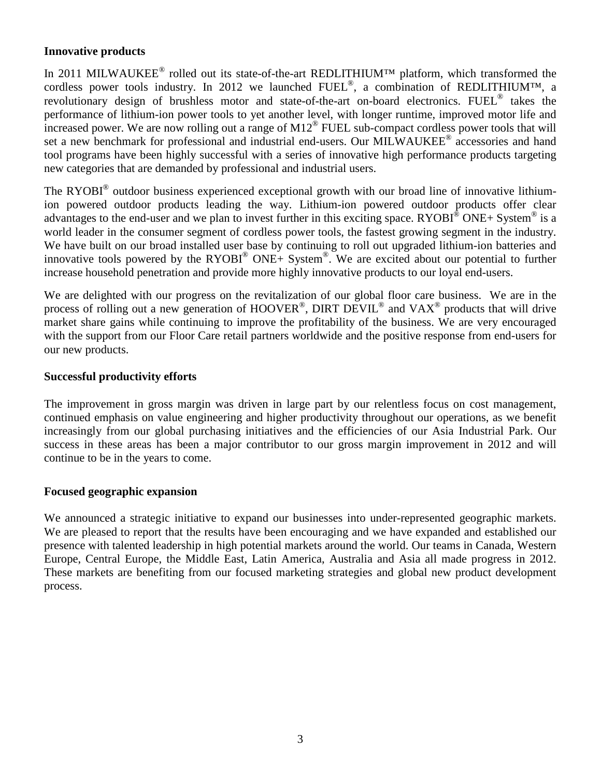### **Innovative products**

In 2011 MILWAUKEE<sup>®</sup> rolled out its state-of-the-art REDLITHIUM<sup>™</sup> platform, which transformed the cordless power tools industry. In 2012 we launched  $FUEL^{\circledast}$ , a combination of REDLITHIUM<sup>TM</sup>, a revolutionary design of brushless motor and state-of-the-art on-board electronics. FUEL<sup>®</sup> takes the performance of lithium-ion power tools to yet another level, with longer runtime, improved motor life and increased power. We are now rolling out a range of M12® FUEL sub-compact cordless power tools that will set a new benchmark for professional and industrial end-users. Our MILWAUKEE® accessories and hand tool programs have been highly successful with a series of innovative high performance products targeting new categories that are demanded by professional and industrial users.

The RYOBI<sup>®</sup> outdoor business experienced exceptional growth with our broad line of innovative lithiumion powered outdoor products leading the way. Lithium-ion powered outdoor products offer clear advantages to the end-user and we plan to invest further in this exciting space. RYOBI $^{\circ}$  ONE+ System  $^{\circ}$  is a world leader in the consumer segment of cordless power tools, the fastest growing segment in the industry. We have built on our broad installed user base by continuing to roll out upgraded lithium-ion batteries and innovative tools powered by the RYOBI<sup>®</sup> ONE+ System<sup>®</sup>. We are excited about our potential to further increase household penetration and provide more highly innovative products to our loyal end-users.

We are delighted with our progress on the revitalization of our global floor care business. We are in the process of rolling out a new generation of HOOVER<sup>®</sup>, DIRT DEVIL<sup>®</sup> and VAX<sup>®</sup> products that will drive market share gains while continuing to improve the profitability of the business. We are very encouraged with the support from our Floor Care retail partners worldwide and the positive response from end-users for our new products.

### **Successful productivity efforts**

The improvement in gross margin was driven in large part by our relentless focus on cost management, continued emphasis on value engineering and higher productivity throughout our operations, as we benefit increasingly from our global purchasing initiatives and the efficiencies of our Asia Industrial Park. Our success in these areas has been a major contributor to our gross margin improvement in 2012 and will continue to be in the years to come.

### **Focused geographic expansion**

We announced a strategic initiative to expand our businesses into under-represented geographic markets. We are pleased to report that the results have been encouraging and we have expanded and established our presence with talented leadership in high potential markets around the world. Our teams in Canada, Western Europe, Central Europe, the Middle East, Latin America, Australia and Asia all made progress in 2012. These markets are benefiting from our focused marketing strategies and global new product development process.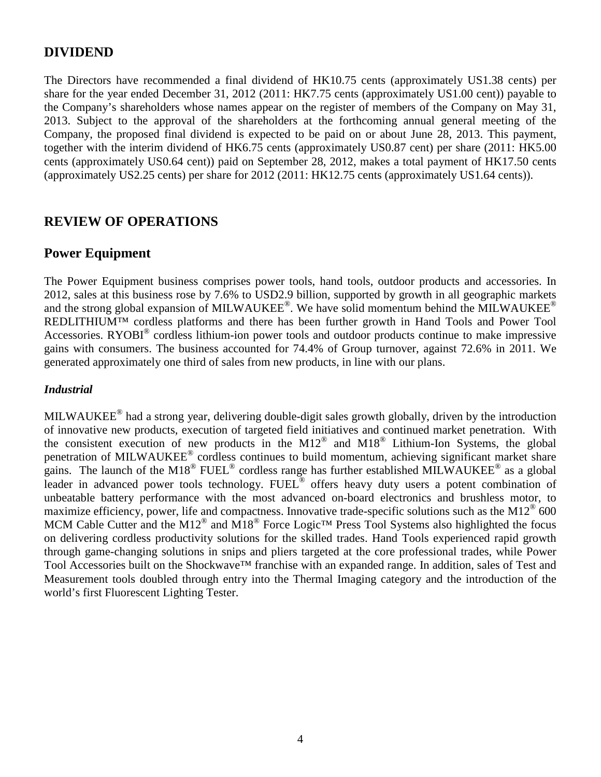## **DIVIDEND**

The Directors have recommended a final dividend of HK10.75 cents (approximately US1.38 cents) per share for the year ended December 31, 2012 (2011: HK7.75 cents (approximately US1.00 cent)) payable to the Company's shareholders whose names appear on the register of members of the Company on May 31, 2013. Subject to the approval of the shareholders at the forthcoming annual general meeting of the Company, the proposed final dividend is expected to be paid on or about June 28, 2013. This payment, together with the interim dividend of HK6.75 cents (approximately US0.87 cent) per share (2011: HK5.00 cents (approximately US0.64 cent)) paid on September 28, 2012, makes a total payment of HK17.50 cents (approximately US2.25 cents) per share for 2012 (2011: HK12.75 cents (approximately US1.64 cents)).

# **REVIEW OF OPERATIONS**

# **Power Equipment**

The Power Equipment business comprises power tools, hand tools, outdoor products and accessories. In 2012, sales at this business rose by 7.6% to USD2.9 billion, supported by growth in all geographic markets and the strong global expansion of MILWAUKEE®. We have solid momentum behind the MILWAUKEE® REDLITHIUM<sup>™</sup> cordless platforms and there has been further growth in Hand Tools and Power Tool Accessories. RYOBI<sup>®</sup> cordless lithium-ion power tools and outdoor products continue to make impressive gains with consumers. The business accounted for 74.4% of Group turnover, against 72.6% in 2011. We generated approximately one third of sales from new products, in line with our plans.

### *Industrial*

MILWAUKEE<sup>®</sup> had a strong year, delivering double-digit sales growth globally, driven by the introduction of innovative new products, execution of targeted field initiatives and continued market penetration. With the consistent execution of new products in the  $M12^{\circledast}$  and  $M18^{\circledast}$  Lithium-Ion Systems, the global penetration of MILWAUKEE® cordless continues to build momentum, achieving significant market share gains. The launch of the M18<sup>®</sup> FUEL<sup>®</sup> cordless range has further established MILWAUKEE<sup>®</sup> as a global leader in advanced power tools technology. FUEL<sup>®</sup> offers heavy duty users a potent combination of unbeatable battery performance with the most advanced on-board electronics and brushless motor, to maximize efficiency, power, life and compactness. Innovative trade-specific solutions such as the M12<sup>®</sup> 600 MCM Cable Cutter and the M12<sup>®</sup> and M18<sup>®</sup> Force Logic<sup>TM</sup> Press Tool Systems also highlighted the focus on delivering cordless productivity solutions for the skilled trades. Hand Tools experienced rapid growth through game-changing solutions in snips and pliers targeted at the core professional trades, while Power Tool Accessories built on the Shockwave<sup>™</sup> franchise with an expanded range. In addition, sales of Test and Measurement tools doubled through entry into the Thermal Imaging category and the introduction of the world's first Fluorescent Lighting Tester.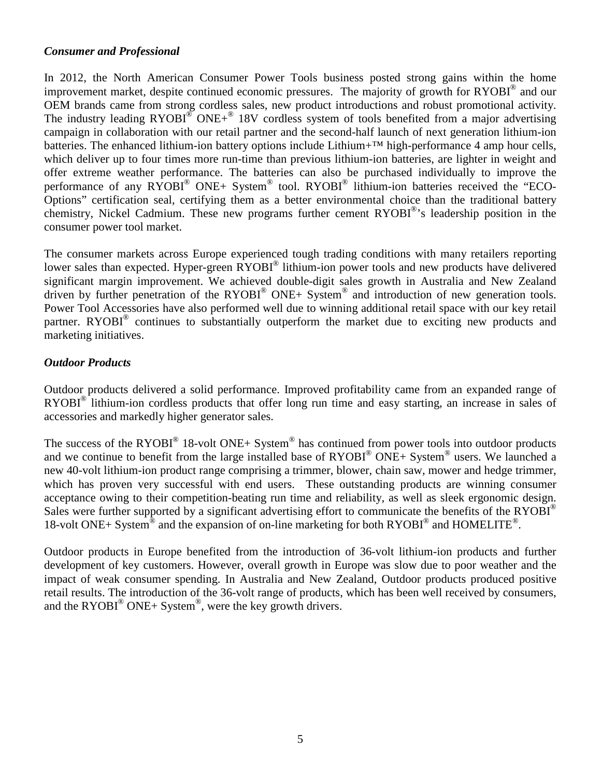### *Consumer and Professional*

In 2012, the North American Consumer Power Tools business posted strong gains within the home improvement market, despite continued economic pressures. The majority of growth for RYOBI® and our OEM brands came from strong cordless sales, new product introductions and robust promotional activity. The industry leading  $RYOBI^{\circledast}$  ONE+ $^{\circledast}$  18V cordless system of tools benefited from a major advertising campaign in collaboration with our retail partner and the second-half launch of next generation lithium-ion batteries. The enhanced lithium-ion battery options include Lithium+<sup>™</sup> high-performance 4 amp hour cells, which deliver up to four times more run-time than previous lithium-ion batteries, are lighter in weight and offer extreme weather performance. The batteries can also be purchased individually to improve the performance of any RYOBI® ONE+ System® tool. RYOBI® lithium-ion batteries received the "ECO-Options" certification seal, certifying them as a better environmental choice than the traditional battery chemistry, Nickel Cadmium. These new programs further cement RYOBI®'s leadership position in the consumer power tool market.

The consumer markets across Europe experienced tough trading conditions with many retailers reporting lower sales than expected. Hyper-green RYOBI® lithium-ion power tools and new products have delivered significant margin improvement. We achieved double-digit sales growth in Australia and New Zealand driven by further penetration of the RYOBI® ONE+ System® and introduction of new generation tools. Power Tool Accessories have also performed well due to winning additional retail space with our key retail partner. RYOBI<sup>®</sup> continues to substantially outperform the market due to exciting new products and marketing initiatives.

### *Outdoor Products*

Outdoor products delivered a solid performance. Improved profitability came from an expanded range of RYOBI<sup>®</sup> lithium-ion cordless products that offer long run time and easy starting, an increase in sales of accessories and markedly higher generator sales.

The success of the RYOBI<sup>®</sup> 18-volt ONE+ System<sup>®</sup> has continued from power tools into outdoor products and we continue to benefit from the large installed base of  $RYOBI^{\circledast}$  ONE+ System<sup>®</sup> users. We launched a new 40-volt lithium-ion product range comprising a trimmer, blower, chain saw, mower and hedge trimmer, which has proven very successful with end users. These outstanding products are winning consumer acceptance owing to their competition-beating run time and reliability, as well as sleek ergonomic design. Sales were further supported by a significant advertising effort to communicate the benefits of the  $RYOBI^{\circledast}$ 18-volt ONE+ System<sup>®</sup> and the expansion of on-line marketing for both RYOBI<sup>®</sup> and HOMELITE<sup>®</sup>.

Outdoor products in Europe benefited from the introduction of 36-volt lithium-ion products and further development of key customers. However, overall growth in Europe was slow due to poor weather and the impact of weak consumer spending. In Australia and New Zealand, Outdoor products produced positive retail results. The introduction of the 36-volt range of products, which has been well received by consumers, and the RYOBI $^{\circledR}$  ONE+ System $^{\circledR}$ , were the key growth drivers.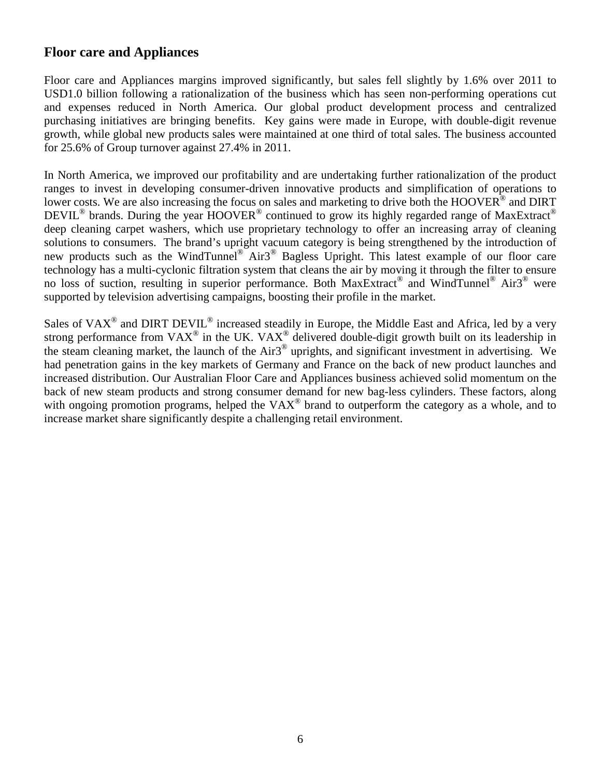# **Floor care and Appliances**

Floor care and Appliances margins improved significantly, but sales fell slightly by 1.6% over 2011 to USD1.0 billion following a rationalization of the business which has seen non-performing operations cut and expenses reduced in North America. Our global product development process and centralized purchasing initiatives are bringing benefits. Key gains were made in Europe, with double-digit revenue growth, while global new products sales were maintained at one third of total sales. The business accounted for 25.6% of Group turnover against 27.4% in 2011.

In North America, we improved our profitability and are undertaking further rationalization of the product ranges to invest in developing consumer-driven innovative products and simplification of operations to lower costs. We are also increasing the focus on sales and marketing to drive both the HOOVER® and DIRT DEVIL<sup>®</sup> brands. During the year HOOVER<sup>®</sup> continued to grow its highly regarded range of MaxExtract<sup>®</sup> deep cleaning carpet washers, which use proprietary technology to offer an increasing array of cleaning solutions to consumers. The brand's upright vacuum category is being strengthened by the introduction of new products such as the WindTunnel® Air3<sup>®</sup> Bagless Upright. This latest example of our floor care technology has a multi-cyclonic filtration system that cleans the air by moving it through the filter to ensure no loss of suction, resulting in superior performance. Both MaxExtract® and WindTunnel® Air3® were supported by television advertising campaigns, boosting their profile in the market.

Sales of VAX<sup>®</sup> and DIRT DEVIL<sup>®</sup> increased steadily in Europe, the Middle East and Africa, led by a very strong performance from VAX<sup>®</sup> in the UK. VAX<sup>®</sup> delivered double-digit growth built on its leadership in the steam cleaning market, the launch of the Air3<sup>®</sup> uprights, and significant investment in advertising. We had penetration gains in the key markets of Germany and France on the back of new product launches and increased distribution. Our Australian Floor Care and Appliances business achieved solid momentum on the back of new steam products and strong consumer demand for new bag-less cylinders. These factors, along with ongoing promotion programs, helped the VAX<sup>®</sup> brand to outperform the category as a whole, and to increase market share significantly despite a challenging retail environment.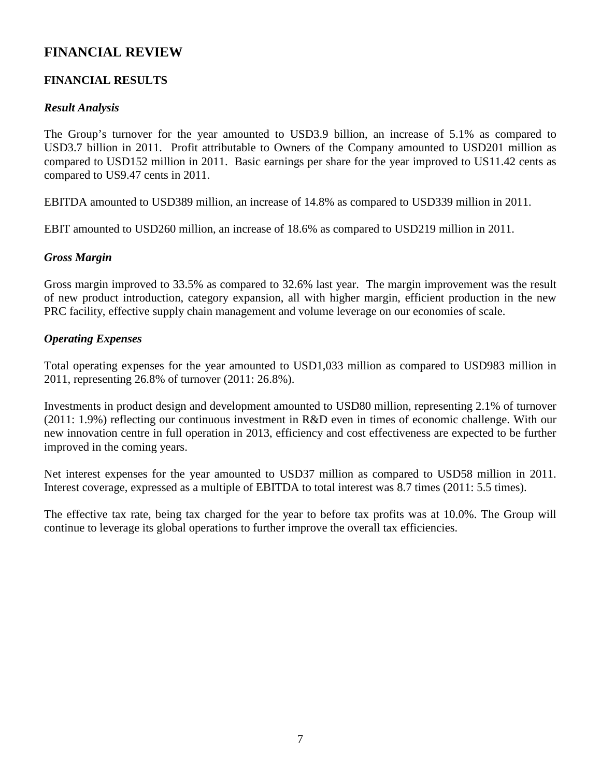# **FINANCIAL REVIEW**

## **FINANCIAL RESULTS**

### *Result Analysis*

The Group's turnover for the year amounted to USD3.9 billion, an increase of 5.1% as compared to USD3.7 billion in 2011. Profit attributable to Owners of the Company amounted to USD201 million as compared to USD152 million in 2011. Basic earnings per share for the year improved to US11.42 cents as compared to US9.47 cents in 2011.

EBITDA amounted to USD389 million, an increase of 14.8% as compared to USD339 million in 2011.

EBIT amounted to USD260 million, an increase of 18.6% as compared to USD219 million in 2011.

### *Gross Margin*

Gross margin improved to 33.5% as compared to 32.6% last year. The margin improvement was the result of new product introduction, category expansion, all with higher margin, efficient production in the new PRC facility, effective supply chain management and volume leverage on our economies of scale.

### *Operating Expenses*

Total operating expenses for the year amounted to USD1,033 million as compared to USD983 million in 2011, representing 26.8% of turnover (2011: 26.8%).

Investments in product design and development amounted to USD80 million, representing 2.1% of turnover (2011: 1.9%) reflecting our continuous investment in R&D even in times of economic challenge. With our new innovation centre in full operation in 2013, efficiency and cost effectiveness are expected to be further improved in the coming years.

Net interest expenses for the year amounted to USD37 million as compared to USD58 million in 2011. Interest coverage, expressed as a multiple of EBITDA to total interest was 8.7 times (2011: 5.5 times).

The effective tax rate, being tax charged for the year to before tax profits was at 10.0%. The Group will continue to leverage its global operations to further improve the overall tax efficiencies.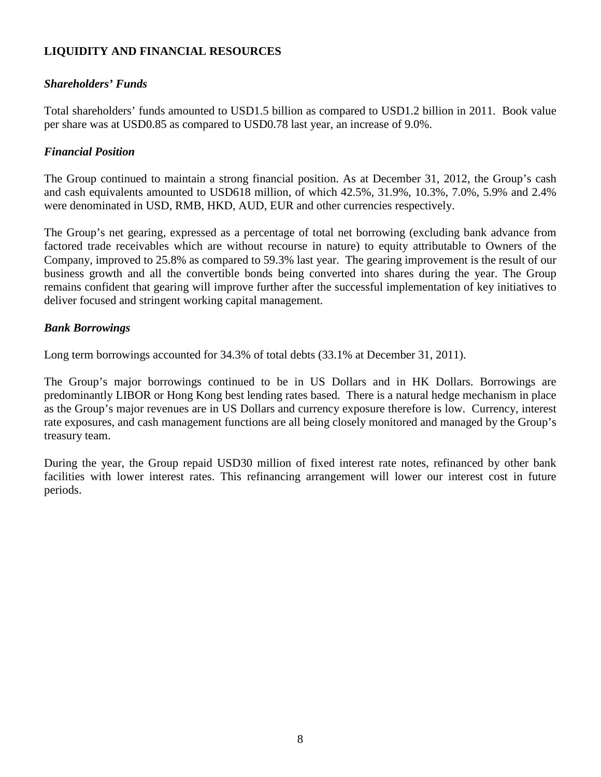## **LIQUIDITY AND FINANCIAL RESOURCES**

### *Shareholders' Funds*

Total shareholders' funds amounted to USD1.5 billion as compared to USD1.2 billion in 2011. Book value per share was at USD0.85 as compared to USD0.78 last year, an increase of 9.0%.

### *Financial Position*

The Group continued to maintain a strong financial position. As at December 31, 2012, the Group's cash and cash equivalents amounted to USD618 million, of which 42.5%, 31.9%, 10.3%, 7.0%, 5.9% and 2.4% were denominated in USD, RMB, HKD, AUD, EUR and other currencies respectively.

The Group's net gearing, expressed as a percentage of total net borrowing (excluding bank advance from factored trade receivables which are without recourse in nature) to equity attributable to Owners of the Company, improved to 25.8% as compared to 59.3% last year. The gearing improvement is the result of our business growth and all the convertible bonds being converted into shares during the year. The Group remains confident that gearing will improve further after the successful implementation of key initiatives to deliver focused and stringent working capital management.

### *Bank Borrowings*

Long term borrowings accounted for 34.3% of total debts (33.1% at December 31, 2011).

The Group's major borrowings continued to be in US Dollars and in HK Dollars. Borrowings are predominantly LIBOR or Hong Kong best lending rates based. There is a natural hedge mechanism in place as the Group's major revenues are in US Dollars and currency exposure therefore is low. Currency, interest rate exposures, and cash management functions are all being closely monitored and managed by the Group's treasury team.

During the year, the Group repaid USD30 million of fixed interest rate notes, refinanced by other bank facilities with lower interest rates. This refinancing arrangement will lower our interest cost in future periods.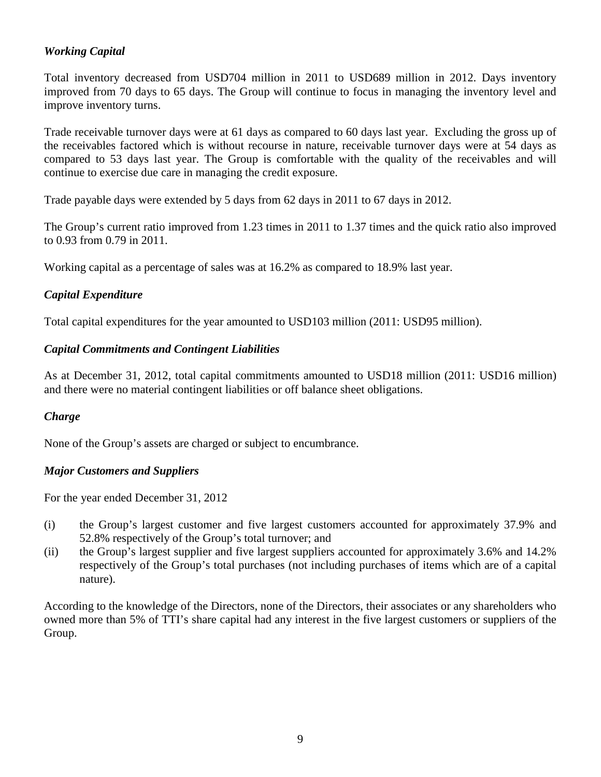## *Working Capital*

Total inventory decreased from USD704 million in 2011 to USD689 million in 2012. Days inventory improved from 70 days to 65 days. The Group will continue to focus in managing the inventory level and improve inventory turns.

Trade receivable turnover days were at 61 days as compared to 60 days last year. Excluding the gross up of the receivables factored which is without recourse in nature, receivable turnover days were at 54 days as compared to 53 days last year. The Group is comfortable with the quality of the receivables and will continue to exercise due care in managing the credit exposure.

Trade payable days were extended by 5 days from 62 days in 2011 to 67 days in 2012.

The Group's current ratio improved from 1.23 times in 2011 to 1.37 times and the quick ratio also improved to 0.93 from 0.79 in 2011.

Working capital as a percentage of sales was at 16.2% as compared to 18.9% last year.

### *Capital Expenditure*

Total capital expenditures for the year amounted to USD103 million (2011: USD95 million).

### *Capital Commitments and Contingent Liabilities*

As at December 31, 2012, total capital commitments amounted to USD18 million (2011: USD16 million) and there were no material contingent liabilities or off balance sheet obligations.

## *Charge*

None of the Group's assets are charged or subject to encumbrance.

### *Major Customers and Suppliers*

For the year ended December 31, 2012

- (i) the Group's largest customer and five largest customers accounted for approximately 37.9% and 52.8% respectively of the Group's total turnover; and
- (ii) the Group's largest supplier and five largest suppliers accounted for approximately 3.6% and 14.2% respectively of the Group's total purchases (not including purchases of items which are of a capital nature).

According to the knowledge of the Directors, none of the Directors, their associates or any shareholders who owned more than 5% of TTI's share capital had any interest in the five largest customers or suppliers of the Group.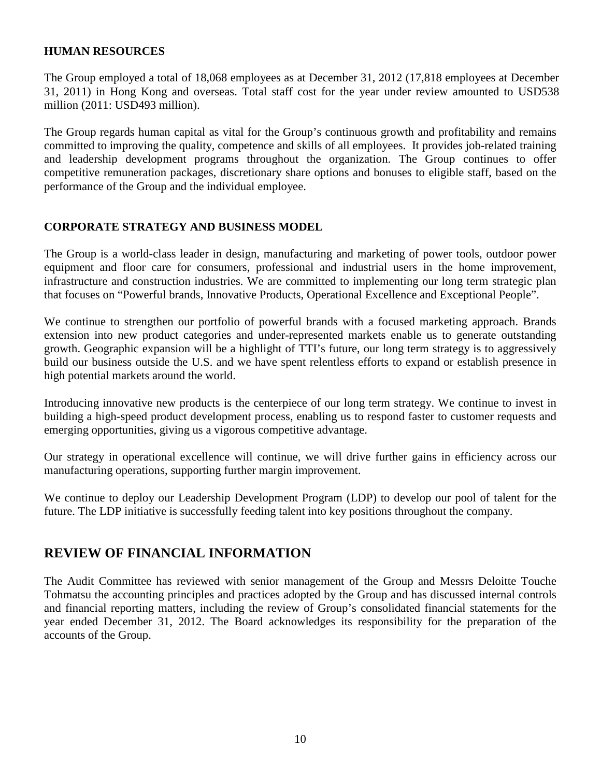### **HUMAN RESOURCES**

The Group employed a total of 18,068 employees as at December 31, 2012 (17,818 employees at December 31, 2011) in Hong Kong and overseas. Total staff cost for the year under review amounted to USD538 million (2011: USD493 million).

The Group regards human capital as vital for the Group's continuous growth and profitability and remains committed to improving the quality, competence and skills of all employees. It provides job-related training and leadership development programs throughout the organization. The Group continues to offer competitive remuneration packages, discretionary share options and bonuses to eligible staff, based on the performance of the Group and the individual employee.

### **CORPORATE STRATEGY AND BUSINESS MODEL**

The Group is a world-class leader in design, manufacturing and marketing of power tools, outdoor power equipment and floor care for consumers, professional and industrial users in the home improvement, infrastructure and construction industries. We are committed to implementing our long term strategic plan that focuses on "Powerful brands, Innovative Products, Operational Excellence and Exceptional People".

We continue to strengthen our portfolio of powerful brands with a focused marketing approach. Brands extension into new product categories and under-represented markets enable us to generate outstanding growth. Geographic expansion will be a highlight of TTI's future, our long term strategy is to aggressively build our business outside the U.S. and we have spent relentless efforts to expand or establish presence in high potential markets around the world.

Introducing innovative new products is the centerpiece of our long term strategy. We continue to invest in building a high-speed product development process, enabling us to respond faster to customer requests and emerging opportunities, giving us a vigorous competitive advantage.

Our strategy in operational excellence will continue, we will drive further gains in efficiency across our manufacturing operations, supporting further margin improvement.

We continue to deploy our Leadership Development Program (LDP) to develop our pool of talent for the future. The LDP initiative is successfully feeding talent into key positions throughout the company.

## **REVIEW OF FINANCIAL INFORMATION**

The Audit Committee has reviewed with senior management of the Group and Messrs Deloitte Touche Tohmatsu the accounting principles and practices adopted by the Group and has discussed internal controls and financial reporting matters, including the review of Group's consolidated financial statements for the year ended December 31, 2012. The Board acknowledges its responsibility for the preparation of the accounts of the Group.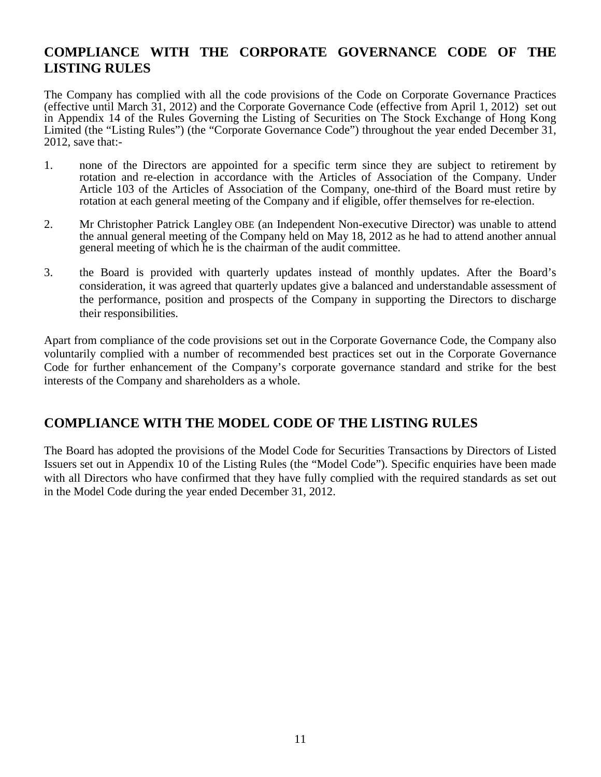# **COMPLIANCE WITH THE CORPORATE GOVERNANCE CODE OF THE LISTING RULES**

The Company has complied with all the code provisions of the Code on Corporate Governance Practices (effective until March 31, 2012) and the Corporate Governance Code (effective from April 1, 2012) set out in Appendix 14 of the Rules Governing the Listing of Securities on The Stock Exchange of Hong Kong Limited (the "Listing Rules") (the "Corporate Governance Code") throughout the year ended December 31, 2012, save that:-

- 1. none of the Directors are appointed for a specific term since they are subject to retirement by rotation and re-election in accordance with the Articles of Association of the Company. Under Article 103 of the Articles of Association of the Company, one-third of the Board must retire by rotation at each general meeting of the Company and if eligible, offer themselves for re-election.
- 2. Mr Christopher Patrick Langley OBE (an Independent Non-executive Director) was unable to attend the annual general meeting of the Company held on May 18, 2012 as he had to attend another annual general meeting of which he is the chairman of the audit committee.
- 3. the Board is provided with quarterly updates instead of monthly updates. After the Board's consideration, it was agreed that quarterly updates give a balanced and understandable assessment of the performance, position and prospects of the Company in supporting the Directors to discharge their responsibilities.

Apart from compliance of the code provisions set out in the Corporate Governance Code, the Company also voluntarily complied with a number of recommended best practices set out in the Corporate Governance Code for further enhancement of the Company's corporate governance standard and strike for the best interests of the Company and shareholders as a whole.

# **COMPLIANCE WITH THE MODEL CODE OF THE LISTING RULES**

The Board has adopted the provisions of the Model Code for Securities Transactions by Directors of Listed Issuers set out in Appendix 10 of the Listing Rules (the "Model Code"). Specific enquiries have been made with all Directors who have confirmed that they have fully complied with the required standards as set out in the Model Code during the year ended December 31, 2012.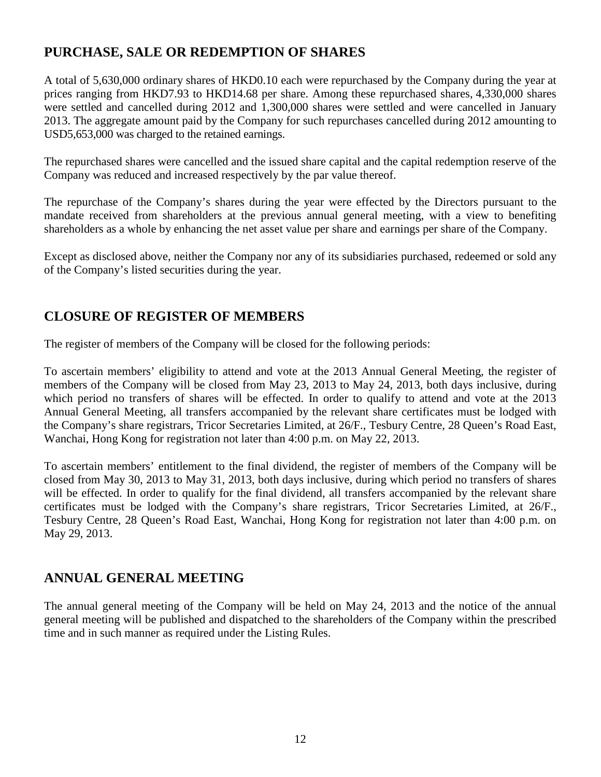# **PURCHASE, SALE OR REDEMPTION OF SHARES**

A total of 5,630,000 ordinary shares of HKD0.10 each were repurchased by the Company during the year at prices ranging from HKD7.93 to HKD14.68 per share. Among these repurchased shares, 4,330,000 shares were settled and cancelled during 2012 and 1,300,000 shares were settled and were cancelled in January 2013. The aggregate amount paid by the Company for such repurchases cancelled during 2012 amounting to USD5,653,000 was charged to the retained earnings.

The repurchased shares were cancelled and the issued share capital and the capital redemption reserve of the Company was reduced and increased respectively by the par value thereof.

The repurchase of the Company's shares during the year were effected by the Directors pursuant to the mandate received from shareholders at the previous annual general meeting, with a view to benefiting shareholders as a whole by enhancing the net asset value per share and earnings per share of the Company.

Except as disclosed above, neither the Company nor any of its subsidiaries purchased, redeemed or sold any of the Company's listed securities during the year.

# **CLOSURE OF REGISTER OF MEMBERS**

The register of members of the Company will be closed for the following periods:

To ascertain members' eligibility to attend and vote at the 2013 Annual General Meeting, the register of members of the Company will be closed from May 23, 2013 to May 24, 2013, both days inclusive, during which period no transfers of shares will be effected. In order to qualify to attend and vote at the 2013 Annual General Meeting, all transfers accompanied by the relevant share certificates must be lodged with the Company's share registrars, Tricor Secretaries Limited, at 26/F., Tesbury Centre, 28 Queen's Road East, Wanchai, Hong Kong for registration not later than 4:00 p.m. on May 22, 2013.

To ascertain members' entitlement to the final dividend, the register of members of the Company will be closed from May 30, 2013 to May 31, 2013, both days inclusive, during which period no transfers of shares will be effected. In order to qualify for the final dividend, all transfers accompanied by the relevant share certificates must be lodged with the Company's share registrars, Tricor Secretaries Limited, at 26/F., Tesbury Centre, 28 Queen's Road East, Wanchai, Hong Kong for registration not later than 4:00 p.m. on May 29, 2013.

# **ANNUAL GENERAL MEETING**

The annual general meeting of the Company will be held on May 24, 2013 and the notice of the annual general meeting will be published and dispatched to the shareholders of the Company within the prescribed time and in such manner as required under the Listing Rules.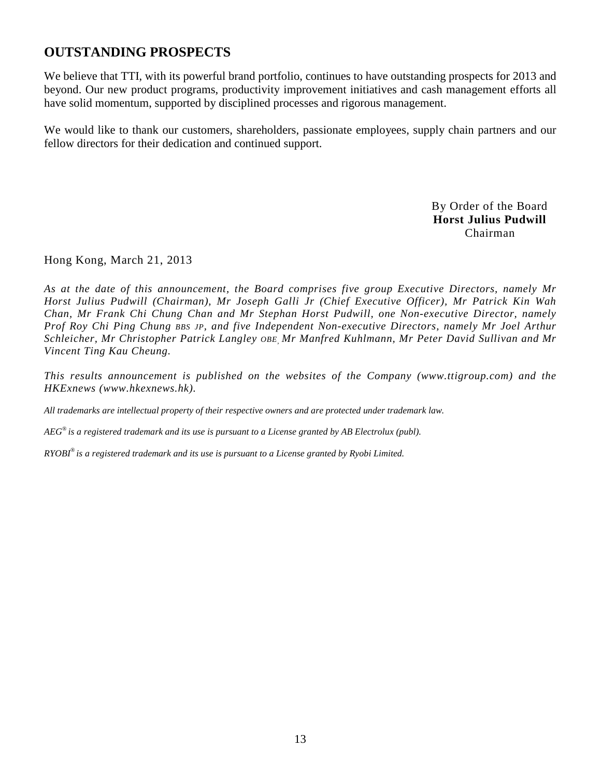# **OUTSTANDING PROSPECTS**

We believe that TTI, with its powerful brand portfolio, continues to have outstanding prospects for 2013 and beyond. Our new product programs, productivity improvement initiatives and cash management efforts all have solid momentum, supported by disciplined processes and rigorous management.

We would like to thank our customers, shareholders, passionate employees, supply chain partners and our fellow directors for their dedication and continued support.

> By Order of the Board **Horst Julius Pudwill**  Chairman

Hong Kong, March 21, 2013

*As at the date of this announcement, the Board comprises five group Executive Directors, namely Mr Horst Julius Pudwill (Chairman), Mr Joseph Galli Jr (Chief Executive Officer), Mr Patrick Kin Wah Chan, Mr Frank Chi Chung Chan and Mr Stephan Horst Pudwill, one Non-executive Director, namely Prof Roy Chi Ping Chung BBS JP, and five Independent Non-executive Directors, namely Mr Joel Arthur Schleicher, Mr Christopher Patrick Langley OBE, Mr Manfred Kuhlmann, Mr Peter David Sullivan and Mr Vincent Ting Kau Cheung.* 

*This results announcement is published on the websites of the Company (www.ttigroup.com) and the HKExnews (www.hkexnews.hk).* 

*All trademarks are intellectual property of their respective owners and are protected under trademark law.* 

*AEG® is a registered trademark and its use is pursuant to a License granted by AB Electrolux (publ).* 

*RYOBI® is a registered trademark and its use is pursuant to a License granted by Ryobi Limited.*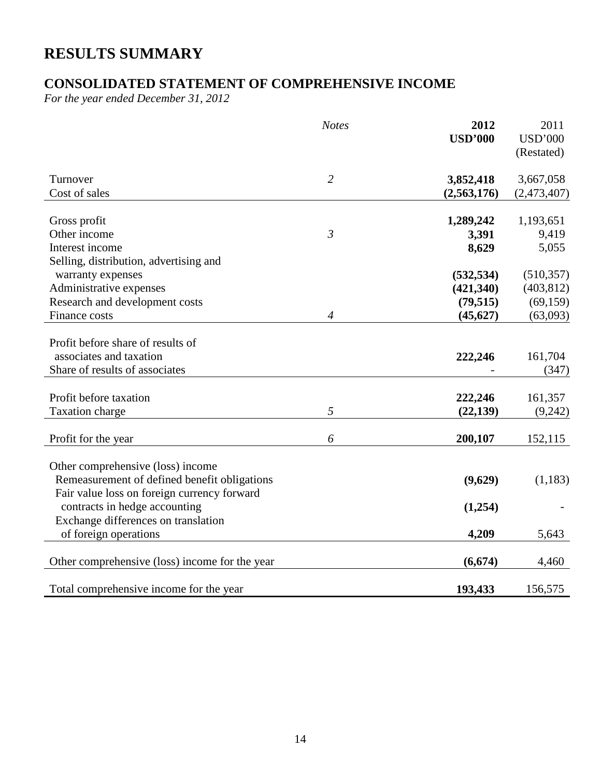# **RESULTS SUMMARY**

# **CONSOLIDATED STATEMENT OF COMPREHENSIVE INCOME**

*For the year ended December 31, 2012* 

|                                                                                                                                  | <b>Notes</b>   | 2012<br><b>USD'000</b> | 2011<br><b>USD'000</b><br>(Restated) |
|----------------------------------------------------------------------------------------------------------------------------------|----------------|------------------------|--------------------------------------|
| Turnover                                                                                                                         | $\overline{2}$ | 3,852,418              | 3,667,058                            |
| Cost of sales                                                                                                                    |                | (2,563,176)            | (2,473,407)                          |
|                                                                                                                                  |                |                        |                                      |
| Gross profit                                                                                                                     |                | 1,289,242              | 1,193,651                            |
| Other income                                                                                                                     | $\mathfrak{Z}$ | 3,391                  | 9,419                                |
| Interest income                                                                                                                  |                | 8,629                  | 5,055                                |
| Selling, distribution, advertising and                                                                                           |                |                        |                                      |
| warranty expenses                                                                                                                |                | (532, 534)             | (510, 357)                           |
| Administrative expenses                                                                                                          |                | (421,340)              | (403, 812)                           |
| Research and development costs                                                                                                   |                | (79, 515)              | (69, 159)                            |
| Finance costs                                                                                                                    | $\overline{4}$ | (45, 627)              | (63,093)                             |
| Profit before share of results of<br>associates and taxation<br>Share of results of associates                                   |                | 222,246                | 161,704<br>(347)                     |
| Profit before taxation                                                                                                           |                | 222,246                | 161,357                              |
| <b>Taxation</b> charge                                                                                                           | 5              | (22, 139)              | (9,242)                              |
|                                                                                                                                  |                |                        |                                      |
| Profit for the year                                                                                                              | 6              | 200,107                | 152,115                              |
| Other comprehensive (loss) income<br>Remeasurement of defined benefit obligations<br>Fair value loss on foreign currency forward |                | (9,629)                | (1,183)                              |
| contracts in hedge accounting                                                                                                    |                | (1,254)                |                                      |
| Exchange differences on translation                                                                                              |                |                        |                                      |
| of foreign operations                                                                                                            |                | 4,209                  | 5,643                                |
| Other comprehensive (loss) income for the year                                                                                   |                | (6, 674)               | 4,460                                |
| Total comprehensive income for the year                                                                                          |                | 193,433                | 156,575                              |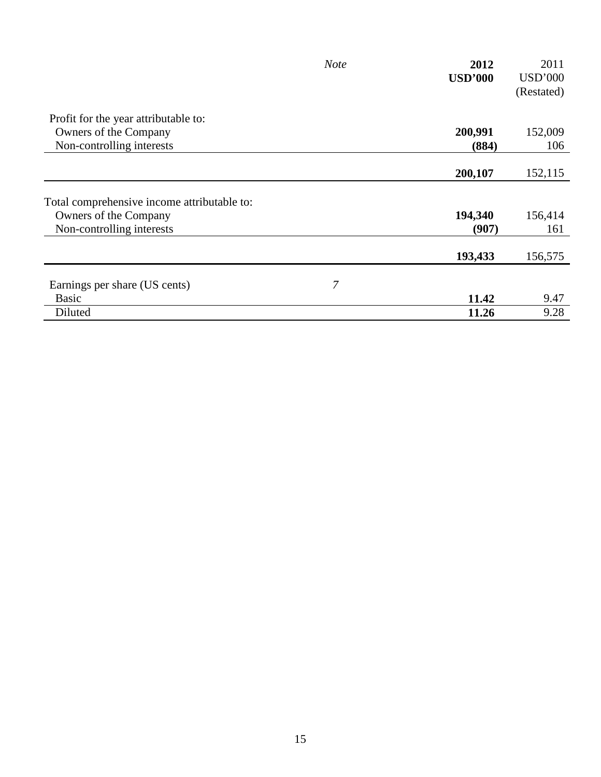|                                             | <b>Note</b> | 2012           | 2011           |
|---------------------------------------------|-------------|----------------|----------------|
|                                             |             | <b>USD'000</b> | <b>USD'000</b> |
|                                             |             |                | (Restated)     |
| Profit for the year attributable to:        |             |                |                |
| Owners of the Company                       |             | 200,991        | 152,009        |
| Non-controlling interests                   |             | (884)          | 106            |
|                                             |             |                |                |
|                                             |             | 200,107        | 152,115        |
| Total comprehensive income attributable to: |             |                |                |
| Owners of the Company                       |             | 194,340        | 156,414        |
| Non-controlling interests                   |             | (907)          | 161            |
|                                             |             | 193,433        | 156,575        |
|                                             |             |                |                |
| Earnings per share (US cents)               | 7           |                |                |
| <b>Basic</b>                                |             | 11.42          | 9.47           |
| Diluted                                     |             | 11.26          | 9.28           |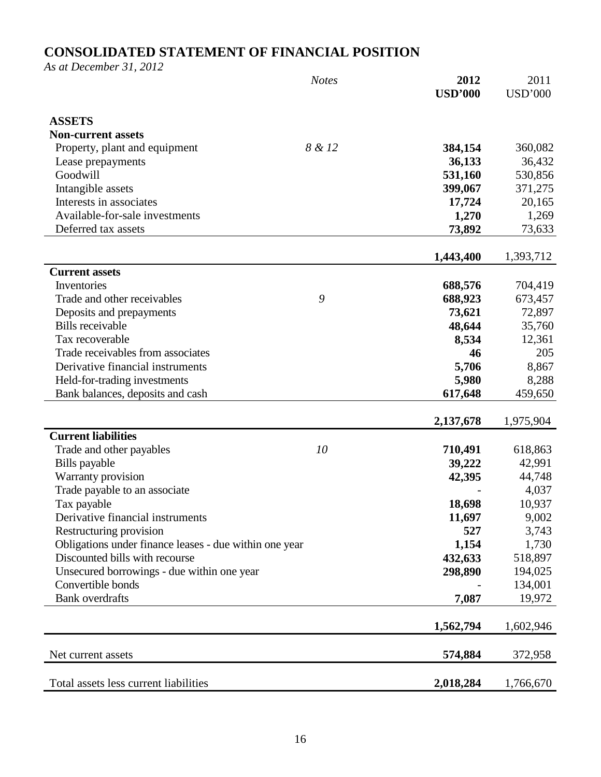# **CONSOLIDATED STATEMENT OF FINANCIAL POSITION**

*As at December 31, 2012* 

|                                                        | <b>Notes</b> | 2012<br><b>USD'000</b> | 2011<br><b>USD'000</b> |
|--------------------------------------------------------|--------------|------------------------|------------------------|
|                                                        |              |                        |                        |
| <b>ASSETS</b>                                          |              |                        |                        |
| <b>Non-current assets</b>                              |              |                        |                        |
| Property, plant and equipment                          | 8 & 12       | 384,154                | 360,082                |
| Lease prepayments                                      |              | 36,133                 | 36,432                 |
| Goodwill                                               |              | 531,160                | 530,856                |
| Intangible assets                                      |              | 399,067                | 371,275                |
| Interests in associates                                |              | 17,724                 | 20,165                 |
| Available-for-sale investments                         |              | 1,270                  | 1,269                  |
| Deferred tax assets                                    |              | 73,892                 | 73,633                 |
|                                                        |              | 1,443,400              | 1,393,712              |
| <b>Current assets</b>                                  |              |                        |                        |
| Inventories                                            |              | 688,576                | 704,419                |
| Trade and other receivables                            | 9            | 688,923                | 673,457                |
| Deposits and prepayments                               |              | 73,621                 | 72,897                 |
| <b>Bills</b> receivable                                |              | 48,644                 | 35,760                 |
| Tax recoverable                                        |              | 8,534                  | 12,361                 |
| Trade receivables from associates                      |              | 46                     | 205                    |
| Derivative financial instruments                       |              | 5,706                  | 8,867                  |
| Held-for-trading investments                           |              | 5,980                  | 8,288                  |
| Bank balances, deposits and cash                       |              | 617,648                | 459,650                |
|                                                        |              |                        |                        |
|                                                        |              | 2,137,678              | 1,975,904              |
| <b>Current liabilities</b>                             |              |                        |                        |
| Trade and other payables                               | 10           | 710,491                | 618,863                |
| Bills payable                                          |              | 39,222                 | 42,991                 |
| Warranty provision                                     |              | 42,395                 | 44,748                 |
| Trade payable to an associate                          |              |                        | 4,037                  |
| Tax payable                                            |              | 18,698                 | 10,937                 |
| Derivative financial instruments                       |              | 11,697                 | 9,002                  |
| Restructuring provision                                |              | 527                    | 3,743                  |
| Obligations under finance leases - due within one year |              | 1,154                  | 1,730                  |
| Discounted bills with recourse                         |              | 432,633                | 518,897                |
| Unsecured borrowings - due within one year             |              | 298,890                | 194,025                |
| Convertible bonds                                      |              |                        | 134,001                |
| <b>Bank</b> overdrafts                                 |              | 7,087                  | 19,972                 |
|                                                        |              | 1,562,794              | 1,602,946              |
|                                                        |              |                        |                        |
| Net current assets                                     |              | 574,884                | 372,958                |
| Total assets less current liabilities                  |              | 2,018,284              | 1,766,670              |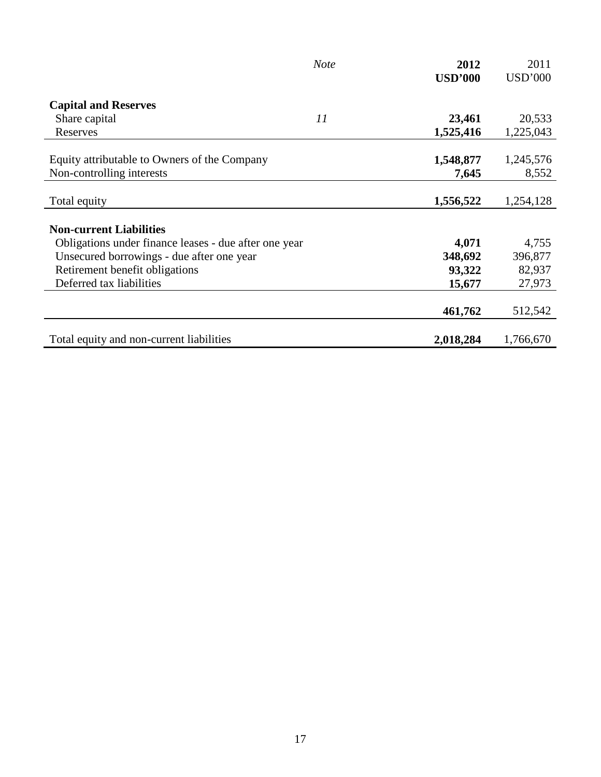|                                                       | <b>Note</b> | 2012           | 2011           |
|-------------------------------------------------------|-------------|----------------|----------------|
|                                                       |             | <b>USD'000</b> | <b>USD'000</b> |
|                                                       |             |                |                |
| <b>Capital and Reserves</b>                           |             |                |                |
| Share capital                                         | 11          | 23,461         | 20,533         |
| Reserves                                              |             | 1,525,416      | 1,225,043      |
|                                                       |             |                |                |
| Equity attributable to Owners of the Company          |             | 1,548,877      | 1,245,576      |
| Non-controlling interests                             |             | 7,645          | 8,552          |
|                                                       |             |                |                |
| Total equity                                          |             | 1,556,522      | 1,254,128      |
|                                                       |             |                |                |
| <b>Non-current Liabilities</b>                        |             |                |                |
| Obligations under finance leases - due after one year |             | 4,071          | 4,755          |
| Unsecured borrowings - due after one year             |             | 348,692        | 396,877        |
| Retirement benefit obligations                        |             | 93,322         | 82,937         |
| Deferred tax liabilities                              |             | 15,677         | 27,973         |
|                                                       |             |                |                |
|                                                       |             | 461,762        | 512,542        |
|                                                       |             |                |                |
| Total equity and non-current liabilities              |             | 2,018,284      | 1,766,670      |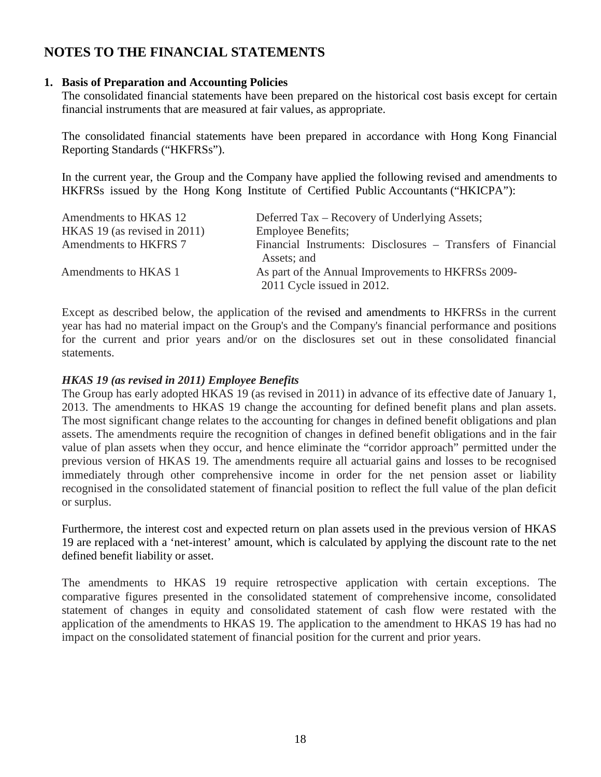# **NOTES TO THE FINANCIAL STATEMENTS**

### **1. Basis of Preparation and Accounting Policies**

The consolidated financial statements have been prepared on the historical cost basis except for certain financial instruments that are measured at fair values, as appropriate.

The consolidated financial statements have been prepared in accordance with Hong Kong Financial Reporting Standards ("HKFRSs").

In the current year, the Group and the Company have applied the following revised and amendments to HKFRSs issued by the Hong Kong Institute of Certified Public Accountants ("HKICPA"):

| Amendments to HKAS 12        | Deferred Tax – Recovery of Underlying Assets;                                    |
|------------------------------|----------------------------------------------------------------------------------|
| HKAS 19 (as revised in 2011) | <b>Employee Benefits;</b>                                                        |
| Amendments to HKFRS 7        | Financial Instruments: Disclosures – Transfers of Financial<br>Assets; and       |
| Amendments to HKAS 1         | As part of the Annual Improvements to HKFRSs 2009-<br>2011 Cycle issued in 2012. |

Except as described below, the application of the revised and amendments to HKFRSs in the current year has had no material impact on the Group's and the Company's financial performance and positions for the current and prior years and/or on the disclosures set out in these consolidated financial statements.

### *HKAS 19 (as revised in 2011) Employee Benefits*

The Group has early adopted HKAS 19 (as revised in 2011) in advance of its effective date of January 1, 2013. The amendments to HKAS 19 change the accounting for defined benefit plans and plan assets. The most significant change relates to the accounting for changes in defined benefit obligations and plan assets. The amendments require the recognition of changes in defined benefit obligations and in the fair value of plan assets when they occur, and hence eliminate the "corridor approach" permitted under the previous version of HKAS 19. The amendments require all actuarial gains and losses to be recognised immediately through other comprehensive income in order for the net pension asset or liability recognised in the consolidated statement of financial position to reflect the full value of the plan deficit or surplus.

Furthermore, the interest cost and expected return on plan assets used in the previous version of HKAS 19 are replaced with a 'net-interest' amount, which is calculated by applying the discount rate to the net defined benefit liability or asset.

The amendments to HKAS 19 require retrospective application with certain exceptions. The comparative figures presented in the consolidated statement of comprehensive income, consolidated statement of changes in equity and consolidated statement of cash flow were restated with the application of the amendments to HKAS 19. The application to the amendment to HKAS 19 has had no impact on the consolidated statement of financial position for the current and prior years.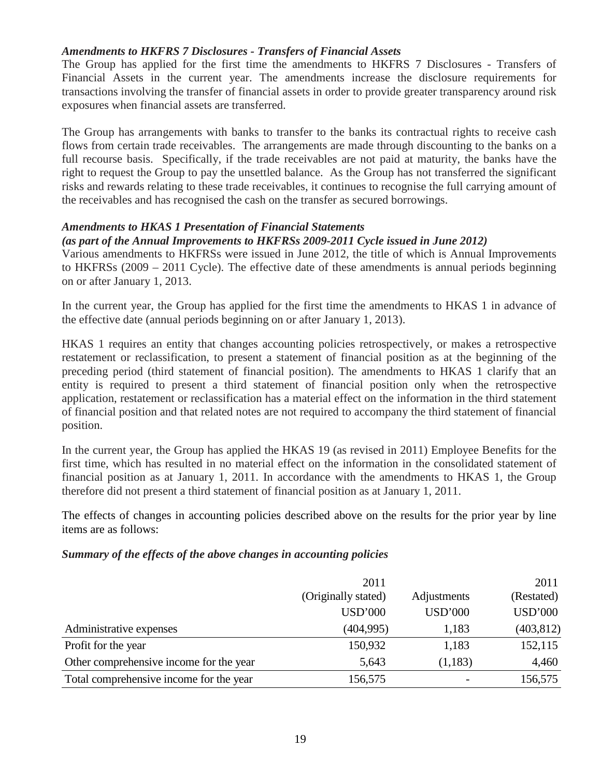### *Amendments to HKFRS 7 Disclosures - Transfers of Financial Assets*

 The Group has applied for the first time the amendments to HKFRS 7 Disclosures - Transfers of Financial Assets in the current year. The amendments increase the disclosure requirements for transactions involving the transfer of financial assets in order to provide greater transparency around risk exposures when financial assets are transferred.

The Group has arrangements with banks to transfer to the banks its contractual rights to receive cash flows from certain trade receivables. The arrangements are made through discounting to the banks on a full recourse basis. Specifically, if the trade receivables are not paid at maturity, the banks have the right to request the Group to pay the unsettled balance. As the Group has not transferred the significant risks and rewards relating to these trade receivables, it continues to recognise the full carrying amount of the receivables and has recognised the cash on the transfer as secured borrowings.

### *Amendments to HKAS 1 Presentation of Financial Statements*

### *(as part of the Annual Improvements to HKFRSs 2009-2011 Cycle issued in June 2012)*

Various amendments to HKFRSs were issued in June 2012, the title of which is Annual Improvements to HKFRSs (2009 – 2011 Cycle). The effective date of these amendments is annual periods beginning on or after January 1, 2013.

In the current year, the Group has applied for the first time the amendments to HKAS 1 in advance of the effective date (annual periods beginning on or after January 1, 2013).

HKAS 1 requires an entity that changes accounting policies retrospectively, or makes a retrospective restatement or reclassification, to present a statement of financial position as at the beginning of the preceding period (third statement of financial position). The amendments to HKAS 1 clarify that an entity is required to present a third statement of financial position only when the retrospective application, restatement or reclassification has a material effect on the information in the third statement of financial position and that related notes are not required to accompany the third statement of financial position.

In the current year, the Group has applied the HKAS 19 (as revised in 2011) Employee Benefits for the first time, which has resulted in no material effect on the information in the consolidated statement of financial position as at January 1, 2011. In accordance with the amendments to HKAS 1, the Group therefore did not present a third statement of financial position as at January 1, 2011.

The effects of changes in accounting policies described above on the results for the prior year by line items are as follows:

### *Summary of the effects of the above changes in accounting policies*

|                                         | 2011                |                | 2011           |  |
|-----------------------------------------|---------------------|----------------|----------------|--|
|                                         | (Originally stated) | Adjustments    | (Restated)     |  |
|                                         | <b>USD'000</b>      | <b>USD'000</b> | <b>USD'000</b> |  |
| Administrative expenses                 | (404, 995)          | 1,183          | (403, 812)     |  |
| Profit for the year                     | 150,932             | 1,183          | 152,115        |  |
| Other comprehensive income for the year | 5,643               | (1,183)        | 4,460          |  |
| Total comprehensive income for the year | 156,575             |                | 156,575        |  |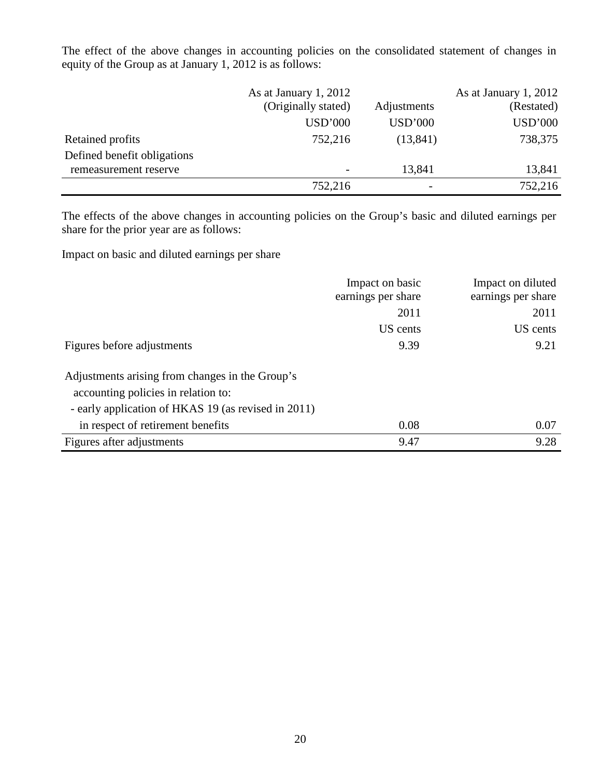The effect of the above changes in accounting policies on the consolidated statement of changes in equity of the Group as at January 1, 2012 is as follows:

|                             | As at January 1, 2012 |                | As at January 1, 2012 |
|-----------------------------|-----------------------|----------------|-----------------------|
|                             | (Originally stated)   | Adjustments    | (Restated)            |
|                             | <b>USD'000</b>        | <b>USD'000</b> | <b>USD'000</b>        |
| Retained profits            | 752,216               | (13, 841)      | 738,375               |
| Defined benefit obligations |                       |                |                       |
| remeasurement reserve       |                       | 13,841         | 13,841                |
|                             | 752,216               | -              | 752,216               |

The effects of the above changes in accounting policies on the Group's basic and diluted earnings per share for the prior year are as follows:

Impact on basic and diluted earnings per share

|                                                     | Impact on basic    | Impact on diluted  |
|-----------------------------------------------------|--------------------|--------------------|
|                                                     | earnings per share | earnings per share |
|                                                     | 2011               | 2011               |
|                                                     | US cents           | US cents           |
| Figures before adjustments                          | 9.39               | 9.21               |
| Adjustments arising from changes in the Group's     |                    |                    |
| accounting policies in relation to:                 |                    |                    |
| - early application of HKAS 19 (as revised in 2011) |                    |                    |
| in respect of retirement benefits                   | 0.08               | 0.07               |
| Figures after adjustments                           | 9.47               | 9.28               |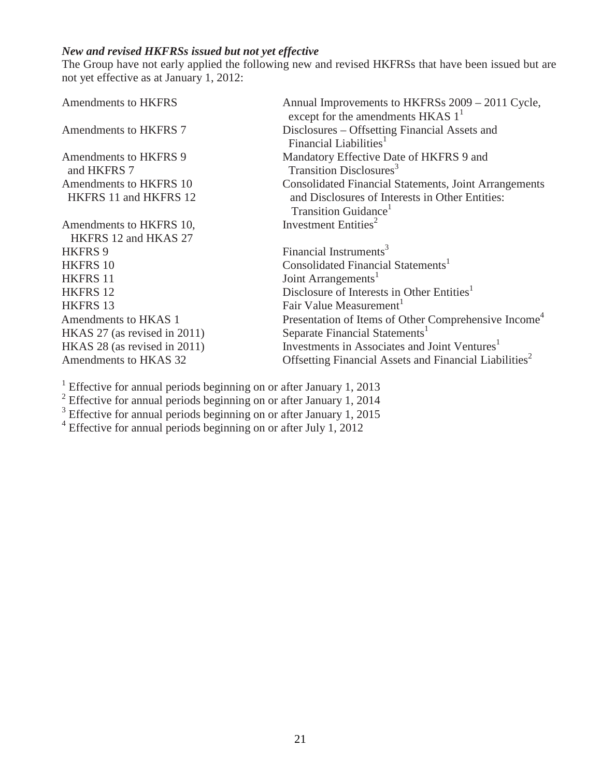## *New and revised HKFRSs issued but not yet effective*

The Group have not early applied the following new and revised HKFRSs that have been issued but are not yet effective as at January 1, 2012:

| Annual Improvements to HKFRSs 2009 - 2011 Cycle,<br>except for the amendments HKAS $11$ |
|-----------------------------------------------------------------------------------------|
| Disclosures – Offsetting Financial Assets and                                           |
| Financial Liabilities <sup>1</sup>                                                      |
| Mandatory Effective Date of HKFRS 9 and                                                 |
| Transition Disclosures <sup>3</sup>                                                     |
| <b>Consolidated Financial Statements, Joint Arrangements</b>                            |
| and Disclosures of Interests in Other Entities:                                         |
| Transition Guidance <sup>1</sup>                                                        |
| Investment Entities <sup>2</sup>                                                        |
|                                                                                         |
| Financial Instruments <sup>3</sup>                                                      |
| Consolidated Financial Statements <sup>1</sup>                                          |
| Joint Arrangements <sup>1</sup>                                                         |
| Disclosure of Interests in Other Entities <sup>1</sup>                                  |
| Fair Value Measurement                                                                  |
| Presentation of Items of Other Comprehensive Income <sup>4</sup>                        |
| Separate Financial Statements <sup>1</sup>                                              |
| Investments in Associates and Joint Ventures <sup>1</sup>                               |
| Offsetting Financial Assets and Financial Liabilities <sup>2</sup>                      |
|                                                                                         |

<sup>1</sup> Effective for annual periods beginning on or after January 1, 2013<br>
<sup>2</sup> Effective for annual periods beginning on or after January 1, 2014<br>
<sup>3</sup> Effective for annual periods beginning on or after January 1, 2015<br>
<sup>4</sup> E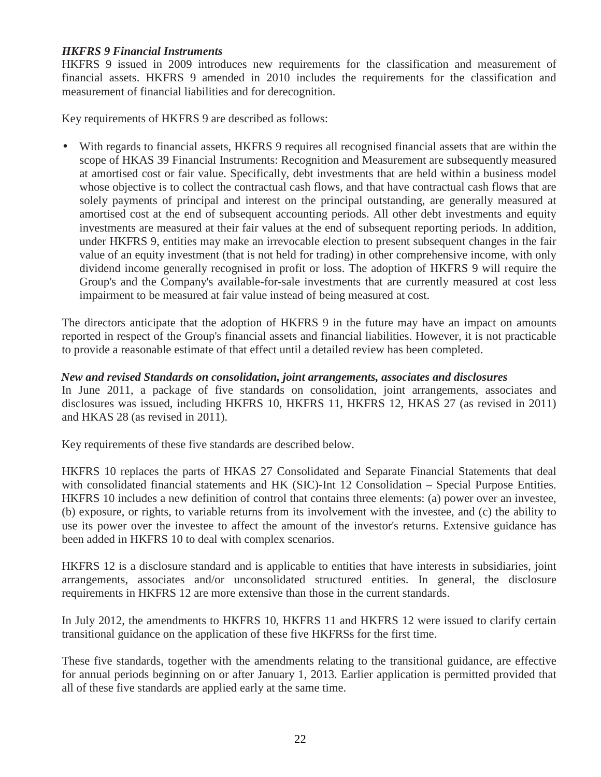### *HKFRS 9 Financial Instruments*

HKFRS 9 issued in 2009 introduces new requirements for the classification and measurement of financial assets. HKFRS 9 amended in 2010 includes the requirements for the classification and measurement of financial liabilities and for derecognition.

Key requirements of HKFRS 9 are described as follows:

• With regards to financial assets, HKFRS 9 requires all recognised financial assets that are within the scope of HKAS 39 Financial Instruments: Recognition and Measurement are subsequently measured at amortised cost or fair value. Specifically, debt investments that are held within a business model whose objective is to collect the contractual cash flows, and that have contractual cash flows that are solely payments of principal and interest on the principal outstanding, are generally measured at amortised cost at the end of subsequent accounting periods. All other debt investments and equity investments are measured at their fair values at the end of subsequent reporting periods. In addition, under HKFRS 9, entities may make an irrevocable election to present subsequent changes in the fair value of an equity investment (that is not held for trading) in other comprehensive income, with only dividend income generally recognised in profit or loss. The adoption of HKFRS 9 will require the Group's and the Company's available-for-sale investments that are currently measured at cost less impairment to be measured at fair value instead of being measured at cost.

The directors anticipate that the adoption of HKFRS 9 in the future may have an impact on amounts reported in respect of the Group's financial assets and financial liabilities. However, it is not practicable to provide a reasonable estimate of that effect until a detailed review has been completed.

### *New and revised Standards on consolidation, joint arrangements, associates and disclosures*

In June 2011, a package of five standards on consolidation, joint arrangements, associates and disclosures was issued, including HKFRS 10, HKFRS 11, HKFRS 12, HKAS 27 (as revised in 2011) and HKAS 28 (as revised in 2011).

Key requirements of these five standards are described below.

HKFRS 10 replaces the parts of HKAS 27 Consolidated and Separate Financial Statements that deal with consolidated financial statements and HK (SIC)-Int 12 Consolidation – Special Purpose Entities. HKFRS 10 includes a new definition of control that contains three elements: (a) power over an investee, (b) exposure, or rights, to variable returns from its involvement with the investee, and (c) the ability to use its power over the investee to affect the amount of the investor's returns. Extensive guidance has been added in HKFRS 10 to deal with complex scenarios.

HKFRS 12 is a disclosure standard and is applicable to entities that have interests in subsidiaries, joint arrangements, associates and/or unconsolidated structured entities. In general, the disclosure requirements in HKFRS 12 are more extensive than those in the current standards.

In July 2012, the amendments to HKFRS 10, HKFRS 11 and HKFRS 12 were issued to clarify certain transitional guidance on the application of these five HKFRSs for the first time.

These five standards, together with the amendments relating to the transitional guidance, are effective for annual periods beginning on or after January 1, 2013. Earlier application is permitted provided that all of these five standards are applied early at the same time.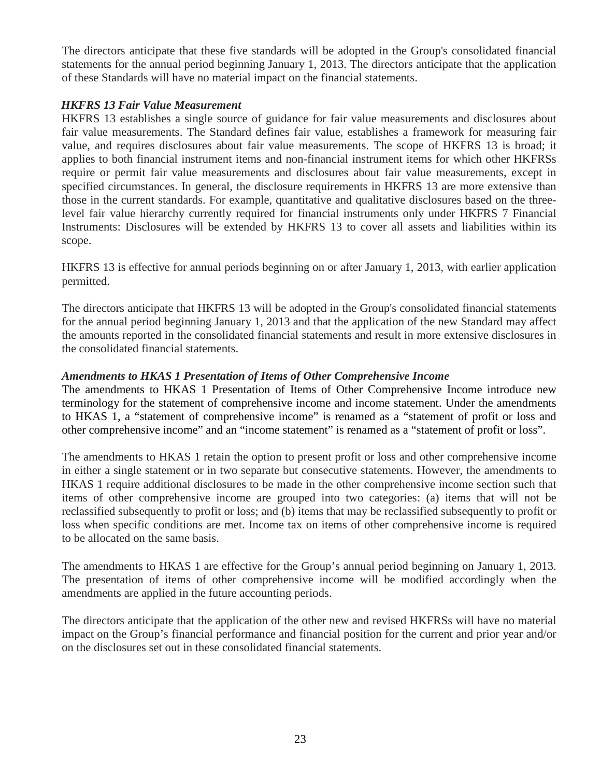The directors anticipate that these five standards will be adopted in the Group's consolidated financial statements for the annual period beginning January 1, 2013. The directors anticipate that the application of these Standards will have no material impact on the financial statements.

### *HKFRS 13 Fair Value Measurement*

HKFRS 13 establishes a single source of guidance for fair value measurements and disclosures about fair value measurements. The Standard defines fair value, establishes a framework for measuring fair value, and requires disclosures about fair value measurements. The scope of HKFRS 13 is broad; it applies to both financial instrument items and non-financial instrument items for which other HKFRSs require or permit fair value measurements and disclosures about fair value measurements, except in specified circumstances. In general, the disclosure requirements in HKFRS 13 are more extensive than those in the current standards. For example, quantitative and qualitative disclosures based on the threelevel fair value hierarchy currently required for financial instruments only under HKFRS 7 Financial Instruments: Disclosures will be extended by HKFRS 13 to cover all assets and liabilities within its scope.

HKFRS 13 is effective for annual periods beginning on or after January 1, 2013, with earlier application permitted.

The directors anticipate that HKFRS 13 will be adopted in the Group's consolidated financial statements for the annual period beginning January 1, 2013 and that the application of the new Standard may affect the amounts reported in the consolidated financial statements and result in more extensive disclosures in the consolidated financial statements.

### *Amendments to HKAS 1 Presentation of Items of Other Comprehensive Income*

The amendments to HKAS 1 Presentation of Items of Other Comprehensive Income introduce new terminology for the statement of comprehensive income and income statement. Under the amendments to HKAS 1, a "statement of comprehensive income" is renamed as a "statement of profit or loss and other comprehensive income" and an "income statement" is renamed as a "statement of profit or loss".

The amendments to HKAS 1 retain the option to present profit or loss and other comprehensive income in either a single statement or in two separate but consecutive statements. However, the amendments to HKAS 1 require additional disclosures to be made in the other comprehensive income section such that items of other comprehensive income are grouped into two categories: (a) items that will not be reclassified subsequently to profit or loss; and (b) items that may be reclassified subsequently to profit or loss when specific conditions are met. Income tax on items of other comprehensive income is required to be allocated on the same basis.

The amendments to HKAS 1 are effective for the Group's annual period beginning on January 1, 2013. The presentation of items of other comprehensive income will be modified accordingly when the amendments are applied in the future accounting periods.

The directors anticipate that the application of the other new and revised HKFRSs will have no material impact on the Group's financial performance and financial position for the current and prior year and/or on the disclosures set out in these consolidated financial statements.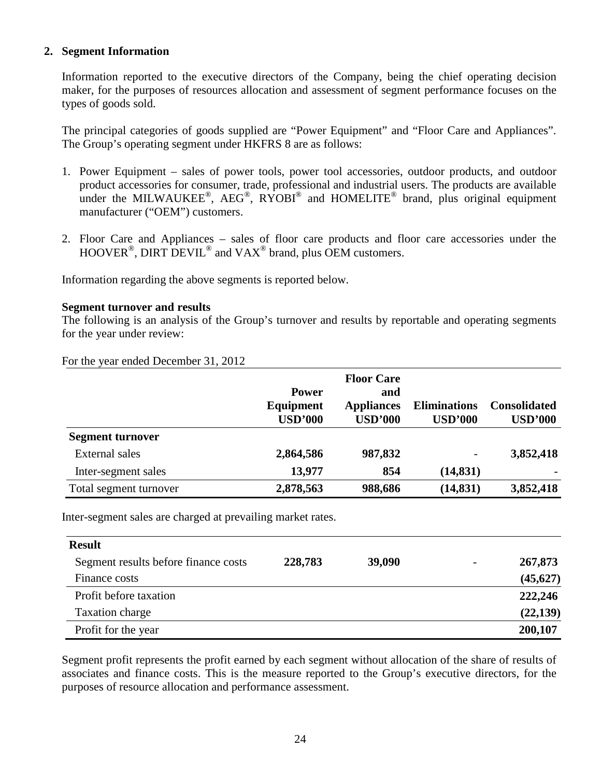### **2. Segment Information**

Information reported to the executive directors of the Company, being the chief operating decision maker, for the purposes of resources allocation and assessment of segment performance focuses on the types of goods sold.

The principal categories of goods supplied are "Power Equipment" and "Floor Care and Appliances". The Group's operating segment under HKFRS 8 are as follows:

- 1. Power Equipment sales of power tools, power tool accessories, outdoor products, and outdoor product accessories for consumer, trade, professional and industrial users. The products are available under the MILWAUKEE®, AEG®, RYOBI® and HOMELITE® brand, plus original equipment manufacturer ("OEM") customers.
- 2. Floor Care and Appliances sales of floor care products and floor care accessories under the HOOVER<sup>®</sup>, DIRT DEVIL<sup>®</sup> and VAX<sup>®</sup> brand, plus OEM customers.

Information regarding the above segments is reported below.

### **Segment turnover and results**

The following is an analysis of the Group's turnover and results by reportable and operating segments for the year under review:

| For the year ended December 31, 2012 |  |
|--------------------------------------|--|
|--------------------------------------|--|

|                         |                | <b>Floor Care</b> |                     |                     |
|-------------------------|----------------|-------------------|---------------------|---------------------|
|                         | <b>Power</b>   | and               |                     |                     |
|                         | Equipment      | <b>Appliances</b> | <b>Eliminations</b> | <b>Consolidated</b> |
|                         | <b>USD'000</b> | <b>USD'000</b>    | <b>USD'000</b>      | <b>USD'000</b>      |
| <b>Segment turnover</b> |                |                   |                     |                     |
| External sales          | 2,864,586      | 987,832           | -                   | 3,852,418           |
| Inter-segment sales     | 13,977         | 854               | (14, 831)           |                     |
| Total segment turnover  | 2,878,563      | 988,686           | (14, 831)           | 3,852,418           |

Inter-segment sales are charged at prevailing market rates.

| <b>Result</b>                        |         |        |                          |           |
|--------------------------------------|---------|--------|--------------------------|-----------|
| Segment results before finance costs | 228,783 | 39,090 | $\overline{\phantom{a}}$ | 267,873   |
| Finance costs                        |         |        |                          | (45, 627) |
| Profit before taxation               |         |        |                          | 222,246   |
| Taxation charge                      |         |        |                          | (22, 139) |
| Profit for the year                  |         |        |                          | 200,107   |

Segment profit represents the profit earned by each segment without allocation of the share of results of associates and finance costs. This is the measure reported to the Group's executive directors, for the purposes of resource allocation and performance assessment.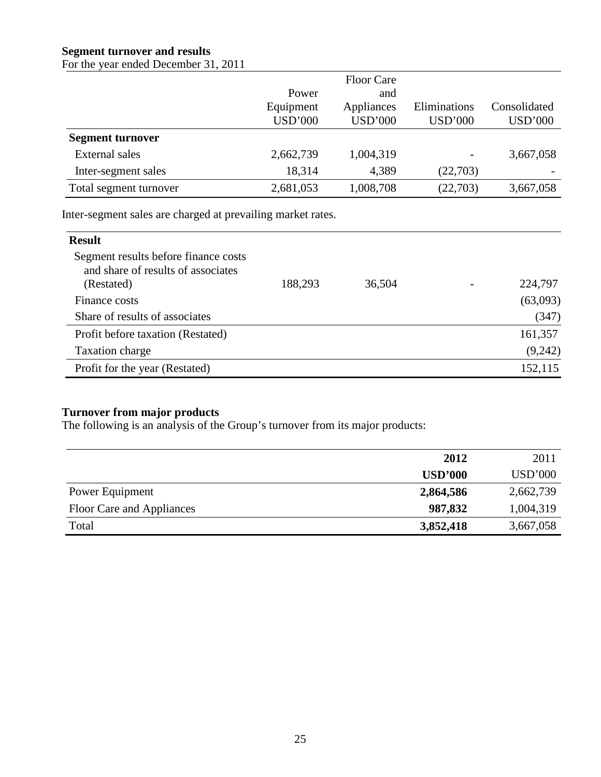## **Segment turnover and results**

For the year ended December 31, 2011

|                         |                | <b>Floor Care</b> |                |                |
|-------------------------|----------------|-------------------|----------------|----------------|
|                         | Power          | and               |                |                |
|                         | Equipment      | Appliances        | Eliminations   | Consolidated   |
|                         | <b>USD'000</b> | <b>USD'000</b>    | <b>USD'000</b> | <b>USD'000</b> |
| <b>Segment turnover</b> |                |                   |                |                |
| <b>External sales</b>   | 2,662,739      | 1,004,319         |                | 3,667,058      |
| Inter-segment sales     | 18,314         | 4,389             | (22,703)       |                |
| Total segment turnover  | 2,681,053      | 1,008,708         | (22,703)       | 3,667,058      |

Inter-segment sales are charged at prevailing market rates.

| <b>Result</b>                                                                            |         |        |          |
|------------------------------------------------------------------------------------------|---------|--------|----------|
| Segment results before finance costs<br>and share of results of associates<br>(Restated) | 188,293 | 36,504 | 224,797  |
| Finance costs                                                                            |         |        | (63,093) |
| Share of results of associates                                                           |         |        | (347)    |
| Profit before taxation (Restated)                                                        |         |        | 161,357  |
| Taxation charge                                                                          |         |        | (9,242)  |
| Profit for the year (Restated)                                                           |         |        | 152,115  |

## **Turnover from major products**

The following is an analysis of the Group's turnover from its major products:

|                           | 2012           | 2011           |
|---------------------------|----------------|----------------|
|                           | <b>USD'000</b> | <b>USD'000</b> |
| Power Equipment           | 2,864,586      | 2,662,739      |
| Floor Care and Appliances | 987,832        | 1,004,319      |
| Total                     | 3,852,418      | 3,667,058      |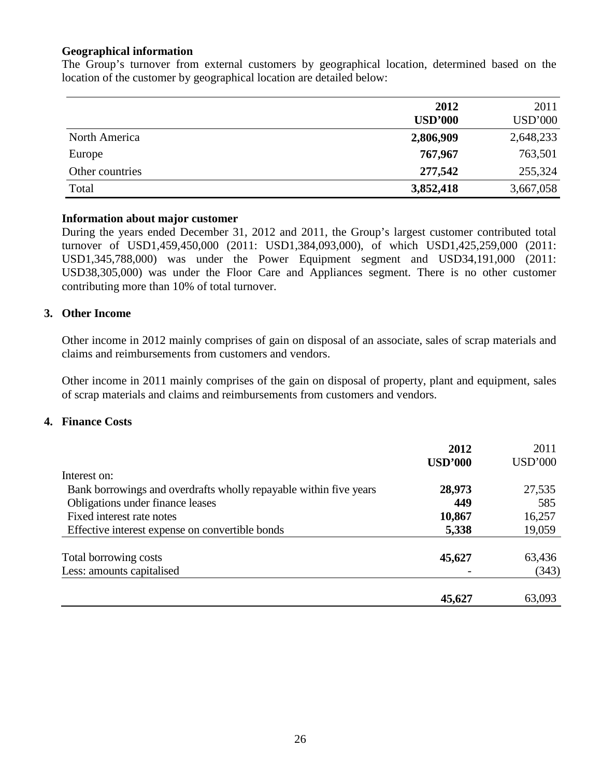### **Geographical information**

The Group's turnover from external customers by geographical location, determined based on the location of the customer by geographical location are detailed below:

|                 | 2012<br><b>USD'000</b> | 2011<br><b>USD'000</b> |
|-----------------|------------------------|------------------------|
| North America   | 2,806,909              | 2,648,233              |
| Europe          | 767,967                | 763,501                |
| Other countries | 277,542                | 255,324                |
| Total           | 3,852,418              | 3,667,058              |

### **Information about major customer**

During the years ended December 31, 2012 and 2011, the Group's largest customer contributed total turnover of USD1,459,450,000 (2011: USD1,384,093,000), of which USD1,425,259,000 (2011: USD1,345,788,000) was under the Power Equipment segment and USD34,191,000 (2011: USD38,305,000) was under the Floor Care and Appliances segment. There is no other customer contributing more than 10% of total turnover.

### **3. Other Income**

Other income in 2012 mainly comprises of gain on disposal of an associate, sales of scrap materials and claims and reimbursements from customers and vendors.

Other income in 2011 mainly comprises of the gain on disposal of property, plant and equipment, sales of scrap materials and claims and reimbursements from customers and vendors.

### **4. Finance Costs**

|                                                                   | 2012           | 2011           |
|-------------------------------------------------------------------|----------------|----------------|
|                                                                   | <b>USD'000</b> | <b>USD'000</b> |
| Interest on:                                                      |                |                |
| Bank borrowings and overdrafts wholly repayable within five years | 28,973         | 27,535         |
| Obligations under finance leases                                  | 449            | 585            |
| Fixed interest rate notes                                         | 10,867         | 16,257         |
| Effective interest expense on convertible bonds                   | 5,338          | 19,059         |
| Total borrowing costs                                             | 45,627         | 63,436         |
| Less: amounts capitalised                                         |                | (343)          |
|                                                                   | 45,627         | 63,093         |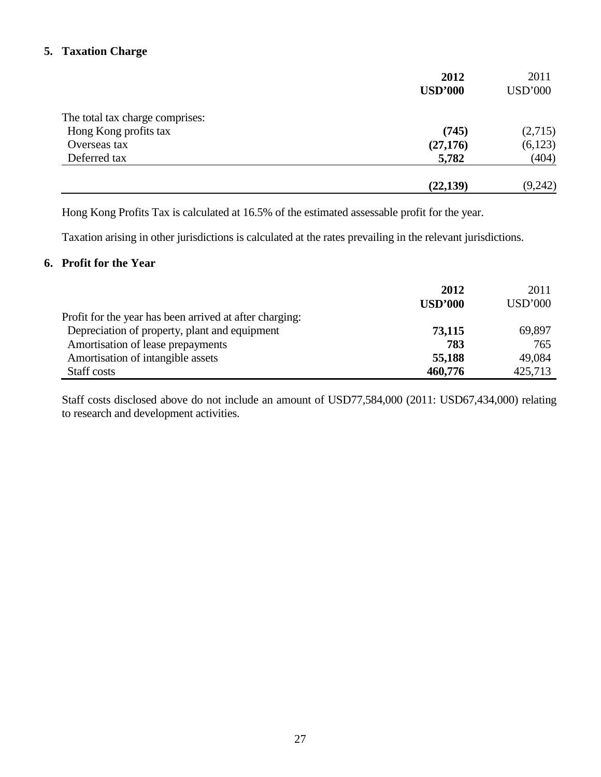### **5. Taxation Charge**

|                                 | 2012           | 2011           |
|---------------------------------|----------------|----------------|
|                                 | <b>USD'000</b> | <b>USD'000</b> |
| The total tax charge comprises: |                |                |
| Hong Kong profits tax           | (745)          | (2,715)        |
| Overseas tax                    | (27, 176)      | (6,123)        |
| Deferred tax                    | 5,782          | (404)          |
|                                 | (22, 139)      | (9,242)        |

Hong Kong Profits Tax is calculated at 16.5% of the estimated assessable profit for the year.

Taxation arising in other jurisdictions is calculated at the rates prevailing in the relevant jurisdictions.

### **6. Profit for the Year**

|                                                         | 2012<br><b>USD'000</b> | 2011<br><b>USD'000</b> |
|---------------------------------------------------------|------------------------|------------------------|
| Profit for the year has been arrived at after charging: |                        |                        |
| Depreciation of property, plant and equipment           | 73,115                 | 69,897                 |
| Amortisation of lease prepayments                       | 783                    | 765                    |
| Amortisation of intangible assets                       | 55,188                 | 49,084                 |
| Staff costs                                             | 460,776                | 425,713                |

Staff costs disclosed above do not include an amount of USD77,584,000 (2011: USD67,434,000) relating to research and development activities.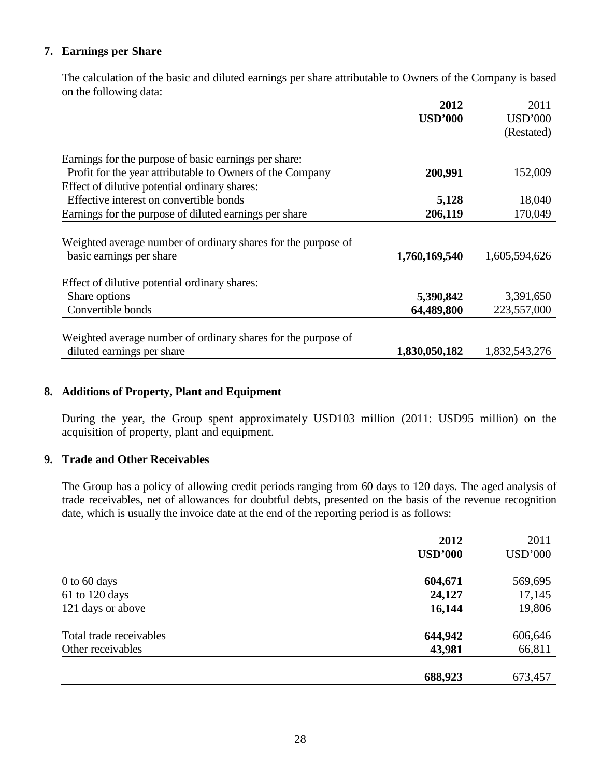### **7. Earnings per Share**

 The calculation of the basic and diluted earnings per share attributable to Owners of the Company is based on the following data:

|                                                                                           | 2012           | 2011           |
|-------------------------------------------------------------------------------------------|----------------|----------------|
|                                                                                           | <b>USD'000</b> | <b>USD'000</b> |
|                                                                                           |                | (Restated)     |
| Earnings for the purpose of basic earnings per share:                                     |                |                |
| Profit for the year attributable to Owners of the Company                                 | 200,991        | 152,009        |
| Effect of dilutive potential ordinary shares:                                             |                |                |
| Effective interest on convertible bonds                                                   | 5,128          | 18,040         |
| Earnings for the purpose of diluted earnings per share                                    | 206,119        | 170,049        |
| Weighted average number of ordinary shares for the purpose of<br>basic earnings per share | 1,760,169,540  | 1,605,594,626  |
| Effect of dilutive potential ordinary shares:                                             |                |                |
| Share options                                                                             | 5,390,842      | 3,391,650      |
| Convertible bonds                                                                         | 64,489,800     | 223,557,000    |
| Weighted average number of ordinary shares for the purpose of                             |                |                |
| diluted earnings per share                                                                | 1,830,050,182  | 1,832,543,276  |

### **8. Additions of Property, Plant and Equipment**

 During the year, the Group spent approximately USD103 million (2011: USD95 million) on the acquisition of property, plant and equipment.

### **9. Trade and Other Receivables**

The Group has a policy of allowing credit periods ranging from 60 days to 120 days. The aged analysis of trade receivables, net of allowances for doubtful debts, presented on the basis of the revenue recognition date, which is usually the invoice date at the end of the reporting period is as follows:

|                         | 2012           | 2011           |
|-------------------------|----------------|----------------|
|                         | <b>USD'000</b> | <b>USD'000</b> |
| $0$ to 60 days          | 604,671        | 569,695        |
| 61 to 120 days          | 24,127         | 17,145         |
| 121 days or above       | 16,144         | 19,806         |
| Total trade receivables | 644,942        | 606,646        |
| Other receivables       | 43,981         | 66,811         |
|                         |                |                |
|                         | 688,923        | 673,457        |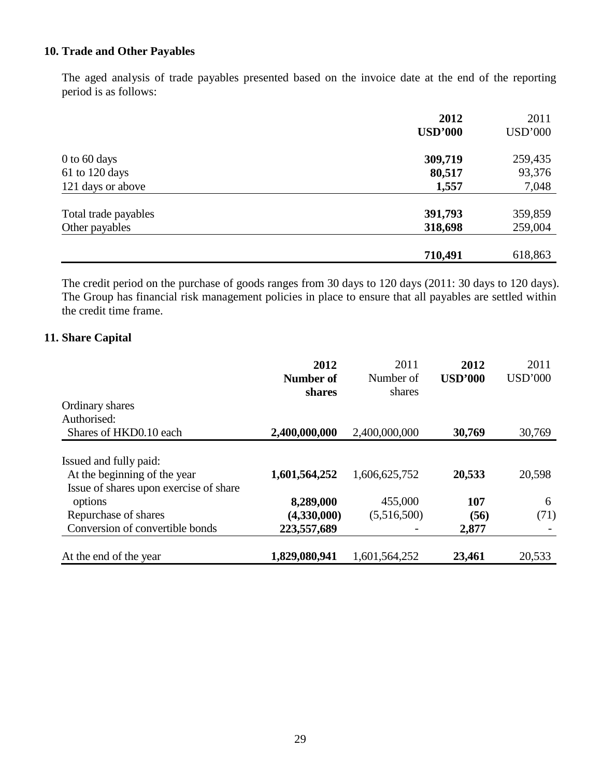## **10. Trade and Other Payables**

The aged analysis of trade payables presented based on the invoice date at the end of the reporting period is as follows:

|                      | 2012           | 2011           |
|----------------------|----------------|----------------|
|                      | <b>USD'000</b> | <b>USD'000</b> |
| $0$ to 60 days       | 309,719        | 259,435        |
| 61 to 120 days       | 80,517         | 93,376         |
| 121 days or above    | 1,557          | 7,048          |
| Total trade payables | 391,793        | 359,859        |
| Other payables       | 318,698        | 259,004        |
|                      | 710,491        | 618,863        |

The credit period on the purchase of goods ranges from 30 days to 120 days (2011: 30 days to 120 days). The Group has financial risk management policies in place to ensure that all payables are settled within the credit time frame.

### **11. Share Capital**

|                                                                                                  | 2012<br>Number of<br>shares | 2011<br>Number of<br>shares | 2012<br><b>USD'000</b> | 2011<br>USD'000 |
|--------------------------------------------------------------------------------------------------|-----------------------------|-----------------------------|------------------------|-----------------|
| Ordinary shares                                                                                  |                             |                             |                        |                 |
| Authorised:                                                                                      |                             |                             |                        |                 |
| Shares of HKD0.10 each                                                                           | 2,400,000,000               | 2,400,000,000               | 30,769                 | 30,769          |
| Issued and fully paid:<br>At the beginning of the year<br>Issue of shares upon exercise of share | 1,601,564,252               | 1,606,625,752               | 20,533                 | 20,598          |
| options                                                                                          | 8,289,000                   | 455,000                     | 107                    | 6               |
| Repurchase of shares                                                                             | (4,330,000)                 | (5,516,500)                 | (56)                   | (71)            |
| Conversion of convertible bonds                                                                  | 223,557,689                 |                             | 2,877                  |                 |
| At the end of the year                                                                           | 1,829,080,941               | 1,601,564,252               | 23,461                 | 20,533          |